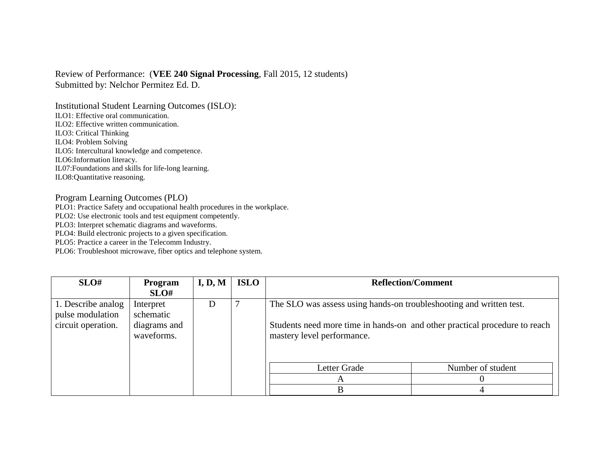## Review of Performance: (**VEE 240 Signal Processing**, Fall 2015, 12 students) Submitted by: Nelchor Permitez Ed. D.

Institutional Student Learning Outcomes (ISLO): ILO1: Effective oral communication. ILO2: Effective written communication. ILO3: Critical Thinking ILO4: Problem Solving ILO5: Intercultural knowledge and competence. ILO6:Information literacy. IL07:Foundations and skills for life-long learning. ILO8:Quantitative reasoning.

## Program Learning Outcomes (PLO)

PLO1: Practice Safety and occupational health procedures in the workplace.

PLO2: Use electronic tools and test equipment competently.

PLO3: Interpret schematic diagrams and waveforms.

PLO4: Build electronic projects to a given specification.

PLO5: Practice a career in the Telecomm Industry.

PLO6: Troubleshoot microwave, fiber optics and telephone system.

| SLO#                                   | Program<br>SLO#            | I, D, M | <b>ISLO</b> | <b>Reflection/Comment</b>                                                                                |                   |
|----------------------------------------|----------------------------|---------|-------------|----------------------------------------------------------------------------------------------------------|-------------------|
| 1. Describe analog<br>pulse modulation | Interpret<br>schematic     | I)      |             | The SLO was assess using hands-on troubleshooting and written test.                                      |                   |
| circuit operation.                     | diagrams and<br>waveforms. |         |             | Students need more time in hands-on and other practical procedure to reach<br>mastery level performance. |                   |
|                                        |                            |         |             | Letter Grade                                                                                             | Number of student |
|                                        |                            |         |             | A                                                                                                        |                   |
|                                        |                            |         |             | B                                                                                                        |                   |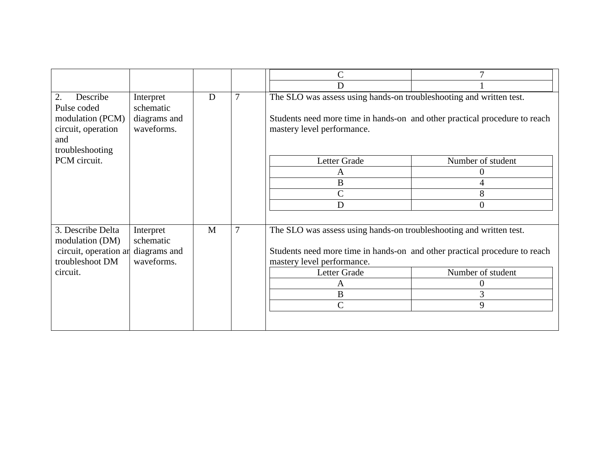|                                                                                                                   |                                                           |   |   | $\overline{C}$                                                                                                                                                                                            |                                            |
|-------------------------------------------------------------------------------------------------------------------|-----------------------------------------------------------|---|---|-----------------------------------------------------------------------------------------------------------------------------------------------------------------------------------------------------------|--------------------------------------------|
|                                                                                                                   |                                                           |   |   | D                                                                                                                                                                                                         |                                            |
| 2.<br>Describe<br>Pulse coded<br>modulation (PCM)<br>circuit, operation<br>and<br>troubleshooting<br>PCM circuit. | Interpret<br>schematic<br>diagrams and<br>waveforms.      | D |   | The SLO was assess using hands-on troubleshooting and written test.<br>Students need more time in hands-on and other practical procedure to reach<br>mastery level performance.<br>Letter Grade<br>A<br>B | Number of student<br>$\boldsymbol{0}$<br>4 |
|                                                                                                                   |                                                           |   |   | $\mathbf C$<br>D                                                                                                                                                                                          | 8<br>$\overline{0}$                        |
|                                                                                                                   |                                                           |   |   |                                                                                                                                                                                                           |                                            |
| 3. Describe Delta<br>modulation (DM)<br>circuit, operation ar<br>troubleshoot DM                                  | M<br>Interpret<br>schematic<br>diagrams and<br>waveforms. |   | 7 | The SLO was assess using hands-on troubleshooting and written test.<br>Students need more time in hands-on and other practical procedure to reach<br>mastery level performance.                           |                                            |
| circuit.                                                                                                          |                                                           |   |   | Letter Grade                                                                                                                                                                                              | Number of student                          |
|                                                                                                                   |                                                           |   |   | A                                                                                                                                                                                                         | $\theta$                                   |
|                                                                                                                   |                                                           |   |   | $\, {\bf B}$                                                                                                                                                                                              | 3                                          |
|                                                                                                                   |                                                           |   |   | $\mathsf{C}$                                                                                                                                                                                              | 9                                          |
|                                                                                                                   |                                                           |   |   |                                                                                                                                                                                                           |                                            |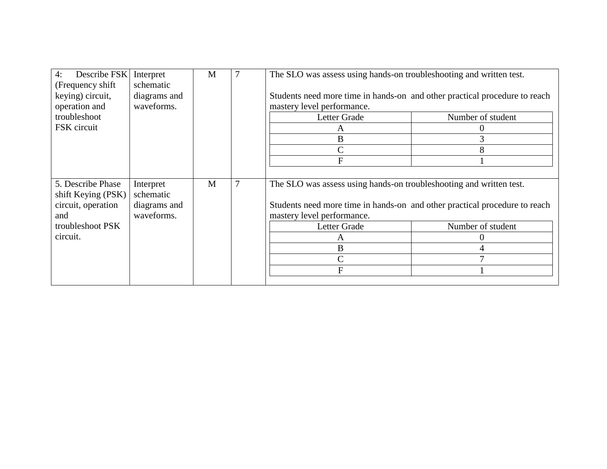| Describe FSK<br>4:<br>(Frequency shift  | Interpret<br>schematic | M |                | The SLO was assess using hands-on troubleshooting and written test.        |                   |  |
|-----------------------------------------|------------------------|---|----------------|----------------------------------------------------------------------------|-------------------|--|
| keying) circuit,                        | diagrams and           |   |                | Students need more time in hands-on and other practical procedure to reach |                   |  |
| operation and<br>troubleshoot           | waveforms.             |   |                | mastery level performance.<br>Letter Grade                                 | Number of student |  |
|                                         |                        |   |                |                                                                            |                   |  |
| FSK circuit                             |                        |   |                | A                                                                          |                   |  |
|                                         |                        |   |                | B                                                                          |                   |  |
|                                         |                        |   |                | $\mathsf{C}$                                                               |                   |  |
|                                         |                        |   |                | F                                                                          |                   |  |
|                                         |                        |   |                |                                                                            |                   |  |
| 5. Describe Phase<br>shift Keying (PSK) | Interpret<br>schematic | M | $\overline{7}$ | The SLO was assess using hands-on troubleshooting and written test.        |                   |  |
| circuit, operation                      | diagrams and           |   |                | Students need more time in hands-on and other practical procedure to reach |                   |  |
| and                                     | waveforms.             |   |                | mastery level performance.                                                 |                   |  |
| troubleshoot PSK                        |                        |   |                | Letter Grade                                                               | Number of student |  |
| circuit.                                |                        |   |                | A                                                                          |                   |  |
|                                         |                        |   |                | B                                                                          |                   |  |
|                                         |                        |   |                | $\mathcal{C}$                                                              |                   |  |
|                                         |                        |   |                | $\mathbf{F}$                                                               |                   |  |
|                                         |                        |   |                |                                                                            |                   |  |